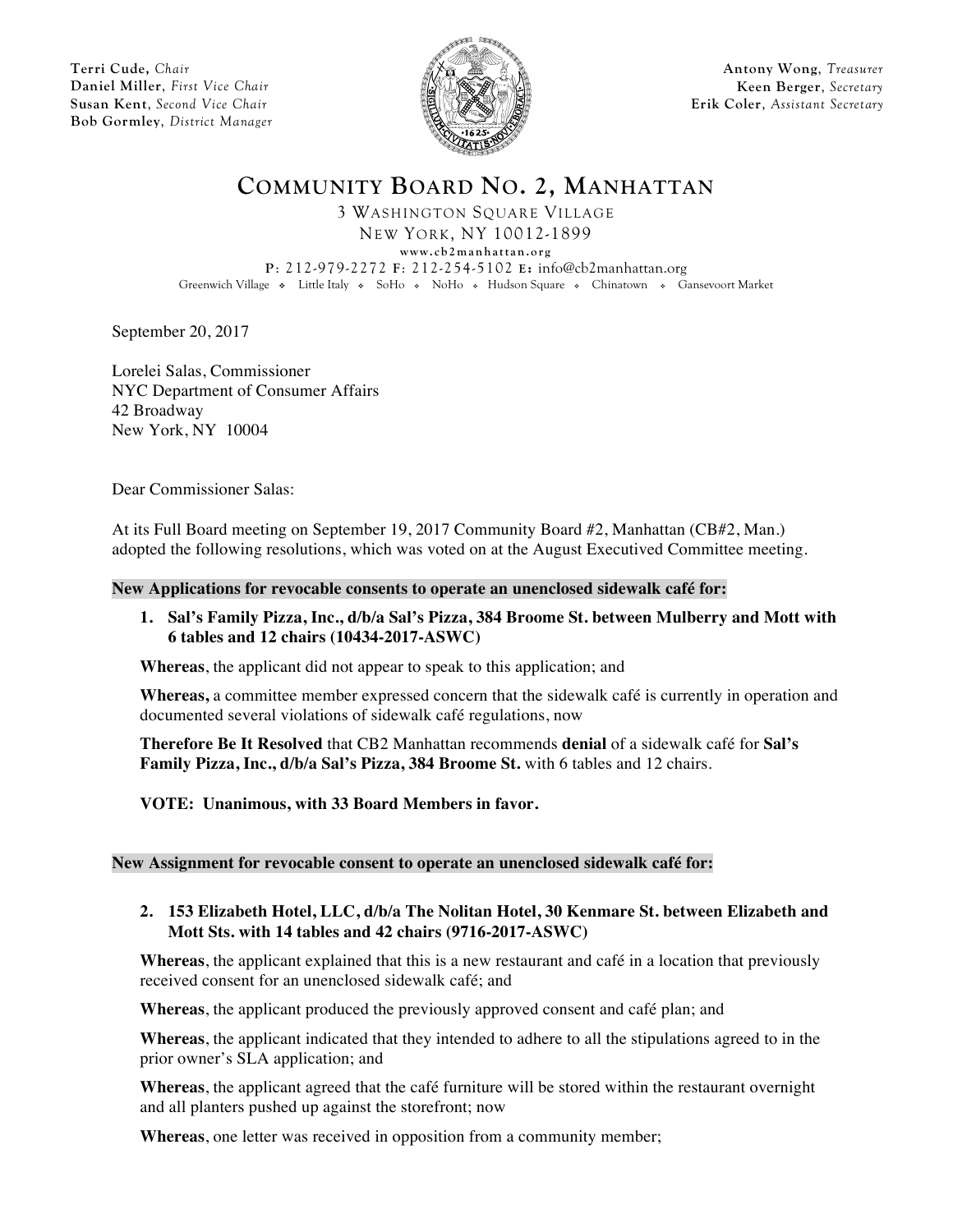**Terri Cude,** *Chair* **Daniel Miller**, *First Vice Chair* **Susan Kent**, *Second Vice Chair* **Bob Gormley**, *District Manager*



**Antony Wong**, *Treasurer* **Keen Berger**, *Secretary* **Erik Coler**, *Assistant Secretary*

**COMMUNITY BOARD NO. 2, MANHATTAN**

3 WASHINGTON SQUARE VILLAGE NEW YORK, NY 10012-1899

**www.cb2manhattan.org**

**P**: 212-979-2272 **F**: 212-254-5102 **E:** info@cb2manhattan.org

Greenwich Village • Little Italy • SoHo • NoHo • Hudson Square • Chinatown • Gansevoort Market

September 20, 2017

Lorelei Salas, Commissioner NYC Department of Consumer Affairs 42 Broadway New York, NY 10004

Dear Commissioner Salas:

At its Full Board meeting on September 19, 2017 Community Board #2, Manhattan (CB#2, Man.) adopted the following resolutions, which was voted on at the August Executived Committee meeting.

#### **New Applications for revocable consents to operate an unenclosed sidewalk café for:**

**1. Sal's Family Pizza, Inc., d/b/a Sal's Pizza, 384 Broome St. between Mulberry and Mott with 6 tables and 12 chairs (10434-2017-ASWC)** 

**Whereas**, the applicant did not appear to speak to this application; and

**Whereas,** a committee member expressed concern that the sidewalk café is currently in operation and documented several violations of sidewalk café regulations, now

**Therefore Be It Resolved** that CB2 Manhattan recommends **denial** of a sidewalk café for **Sal's Family Pizza, Inc., d/b/a Sal's Pizza, 384 Broome St.** with 6 tables and 12 chairs.

**VOTE: Unanimous, with 33 Board Members in favor.** 

#### **New Assignment for revocable consent to operate an unenclosed sidewalk café for:**

**2. 153 Elizabeth Hotel, LLC, d/b/a The Nolitan Hotel, 30 Kenmare St. between Elizabeth and Mott Sts. with 14 tables and 42 chairs (9716-2017-ASWC)**

**Whereas**, the applicant explained that this is a new restaurant and café in a location that previously received consent for an unenclosed sidewalk café; and

**Whereas**, the applicant produced the previously approved consent and café plan; and

**Whereas**, the applicant indicated that they intended to adhere to all the stipulations agreed to in the prior owner's SLA application; and

**Whereas**, the applicant agreed that the café furniture will be stored within the restaurant overnight and all planters pushed up against the storefront; now

**Whereas**, one letter was received in opposition from a community member;